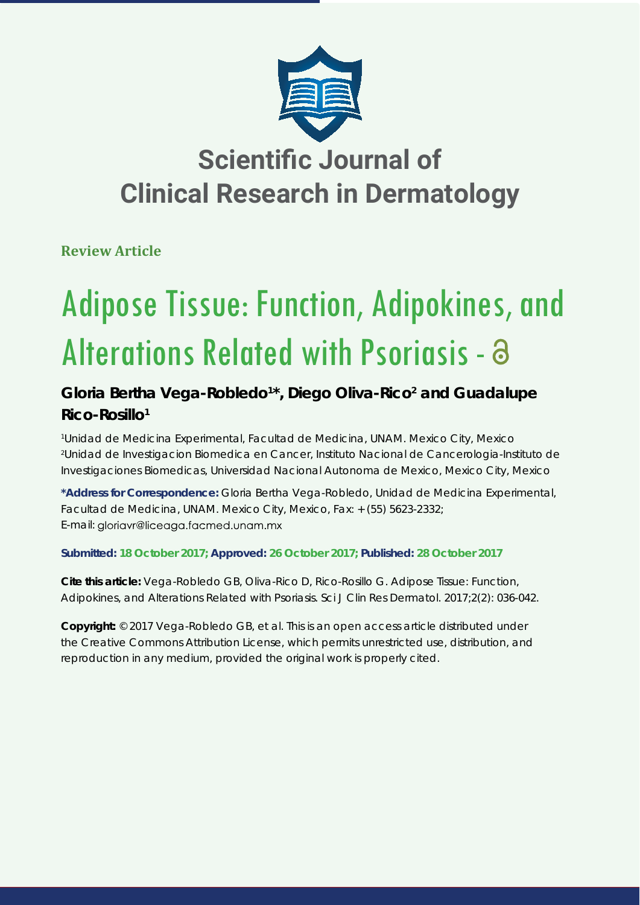

## **Scientific Journal of Clinical Research in Dermatology**

**Review Article**

# Adipose Tissue: Function, Adipokines, and Alterations Related with Psoriasis - 3

### Gloria Bertha Vega-Robledo<sup>1\*</sup>, Diego Oliva-Rico<sup>2</sup> and Guadalupe **Rico-Rosillo1**

*1 Unidad de Medicina Experimental, Facultad de Medicina, UNAM. Mexico City, Mexico 2 Unidad de Investigacion Biomedica en Cancer, Instituto Nacional de Cancerologia-Instituto de Investigaciones Biomedicas, Universidad Nacional Autonoma de Mexico, Mexico City, Mexico*

**\*Address for Correspondence:** Gloria Bertha Vega-Robledo, Unidad de Medicina Experimental, Facultad de Medicina, UNAM. Mexico City, Mexico, Fax: + (55) 5623-2332; E-mail: gloriavr@liceaga.facmed.unam.mx

**Submitted: 18 October 2017; Approved: 26 October 2017; Published: 28 October 2017**

**Cite this article:** Vega-Robledo GB, Oliva-Rico D, Rico-Rosillo G. Adipose Tissue: Function, Adipokines, and Alterations Related with Psoriasis. Sci J Clin Res Dermatol. 2017;2(2): 036-042.

**Copyright:** © 2017 Vega-Robledo GB, et al. This is an open access article distributed under the Creative Commons Attribution License, which permits unrestricted use, distribution, and reproduction in any medium, provided the original work is properly cited.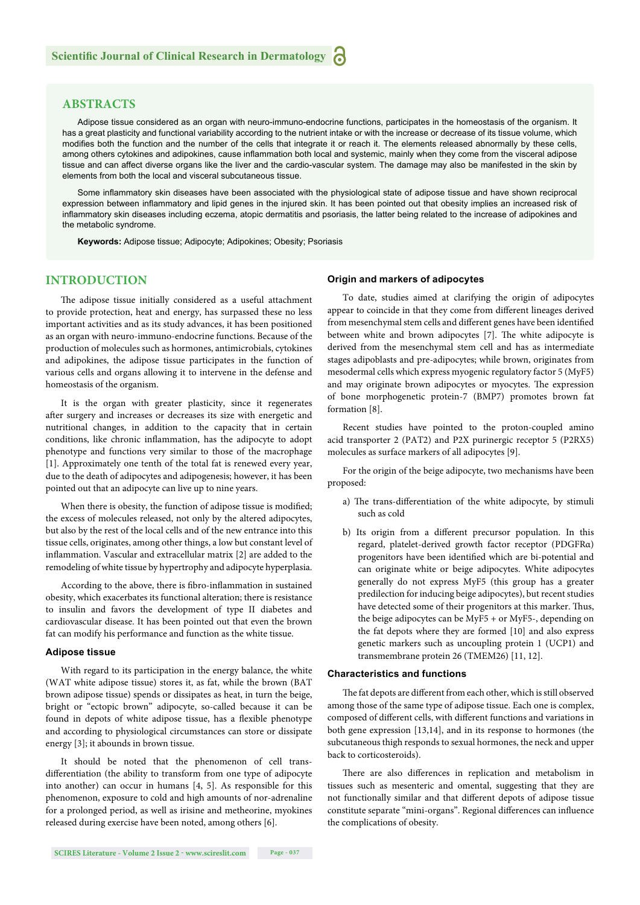#### **ABSTRACTS**

Adipose tissue considered as an organ with neuro-immuno-endocrine functions, participates in the homeostasis of the organism. It has a great plasticity and functional variability according to the nutrient intake or with the increase or decrease of its tissue volume, which modifies both the function and the number of the cells that integrate it or reach it. The elements released abnormally by these cells, among others cytokines and adipokines, cause inflammation both local and systemic, mainly when they come from the visceral adipose tissue and can affect diverse organs like the liver and the cardio-vascular system. The damage may also be manifested in the skin by elements from both the local and visceral subcutaneous tissue.

Some inflammatory skin diseases have been associated with the physiological state of adipose tissue and have shown reciprocal expression between inflammatory and lipid genes in the injured skin. It has been pointed out that obesity implies an increased risk of inflammatory skin diseases including eczema, atopic dermatitis and psoriasis, the latter being related to the increase of adipokines and the metabolic syndrome.

**Keywords:** Adipose tissue; Adipocyte; Adipokines; Obesity; Psoriasis

#### **INTRODUCTION**

The adipose tissue initially considered as a useful attachment to provide protection, heat and energy, has surpassed these no less important activities and as its study advances, it has been positioned as an organ with neuro-immuno-endocrine functions. Because of the production of molecules such as hormones, antimicrobials, cytokines and adipokines, the adipose tissue participates in the function of various cells and organs allowing it to intervene in the defense and homeostasis of the organism.

It is the organ with greater plasticity, since it regenerates after surgery and increases or decreases its size with energetic and nutritional changes, in addition to the capacity that in certain conditions, like chronic inflammation, has the adipocyte to adopt phenotype and functions very similar to those of the macrophage [1]. Approximately one tenth of the total fat is renewed every year, due to the death of adipocytes and adipogenesis; however, it has been pointed out that an adipocyte can live up to nine years.

When there is obesity, the function of adipose tissue is modified; the excess of molecules released, not only by the altered adipocytes, but also by the rest of the local cells and of the new entrance into this tissue cells, originates, among other things, a low but constant level of inflammation. Vascular and extracellular matrix [2] are added to the remodeling of white tissue by hypertrophy and adipocyte hyperplasia.

According to the above, there is fibro-inflammation in sustained obesity, which exacerbates its functional alteration; there is resistance to insulin and favors the development of type II diabetes and cardiovascular disease. It has been pointed out that even the brown fat can modify his performance and function as the white tissue.

#### **Adipose tissue**

With regard to its participation in the energy balance, the white (WAT white adipose tissue) stores it, as fat, while the brown (BAT brown adipose tissue) spends or dissipates as heat, in turn the beige, bright or "ectopic brown" adipocyte, so-called because it can be found in depots of white adipose tissue, has a flexible phenotype and according to physiological circumstances can store or dissipate energy [3]; it abounds in brown tissue.

It should be noted that the phenomenon of cell transdifferentiation (the ability to transform from one type of adipocyte into another) can occur in humans [4, 5]. As responsible for this phenomenon, exposure to cold and high amounts of nor-adrenaline for a prolonged period, as well as irisine and metheorine, myokines released during exercise have been noted, among others [6].

#### **Origin and markers of adipocytes**

To date, studies aimed at clarifying the origin of adipocytes appear to coincide in that they come from different lineages derived from mesenchymal stem cells and different genes have been identified between white and brown adipocytes [7]. The white adipocyte is derived from the mesenchymal stem cell and has as intermediate stages adipoblasts and pre-adipocytes; while brown, originates from mesodermal cells which express myogenic regulatory factor 5 (MyF5) and may originate brown adipocytes or myocytes. The expression of bone morphogenetic protein-7 (BMP7) promotes brown fat formation [8].

Recent studies have pointed to the proton-coupled amino acid transporter 2 (PAT2) and P2X purinergic receptor 5 (P2RX5) molecules as surface markers of all adipocytes [9].

For the origin of the beige adipocyte, two mechanisms have been proposed:

- a) The trans-differentiation of the white adipocyte, by stimuli such as cold
- b) Its origin from a different precursor population. In this regard, platelet-derived growth factor receptor (PDGFRα) progenitors have been identified which are bi-potential and can originate white or beige adipocytes. White adipocytes generally do not express MyF5 (this group has a greater predilection for inducing beige adipocytes), but recent studies have detected some of their progenitors at this marker. Thus, the beige adipocytes can be MyF5 + or MyF5-, depending on the fat depots where they are formed [10] and also express genetic markers such as uncoupling protein 1 (UCP1) and transmembrane protein 26 (TMEM26) [11, 12].

#### **Characteristics and functions**

The fat depots are different from each other, which is still observed among those of the same type of adipose tissue. Each one is complex, composed of different cells, with different functions and variations in both gene expression [13,14], and in its response to hormones (the subcutaneous thigh responds to sexual hormones, the neck and upper back to corticosteroids).

There are also differences in replication and metabolism in tissues such as mesenteric and omental, suggesting that they are not functionally similar and that different depots of adipose tissue constitute separate "mini-organs". Regional differences can influence the complications of obesity.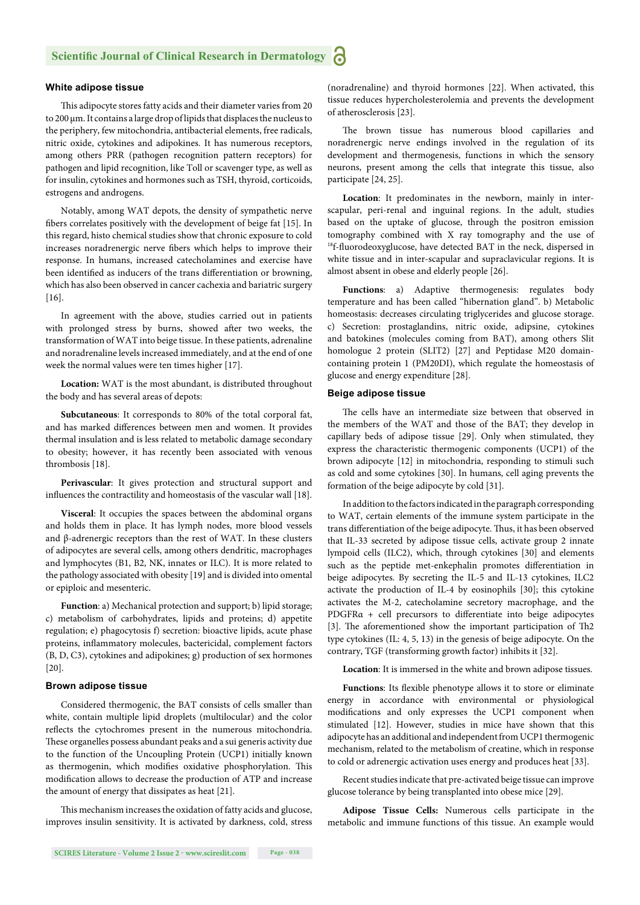#### **White adipose tissue**

This adipocyte stores fatty acids and their diameter varies from 20 to 200 μm. It contains a large drop of lipids that displaces the nucleus to the periphery, few mitochondria, antibacterial elements, free radicals, nitric oxide, cytokines and adipokines. It has numerous receptors, among others PRR (pathogen recognition pattern receptors) for pathogen and lipid recognition, like Toll or scavenger type, as well as for insulin, cytokines and hormones such as TSH, thyroid, corticoids, estrogens and androgens.

Notably, among WAT depots, the density of sympathetic nerve fibers correlates positively with the development of beige fat [15]. In this regard, histo chemical studies show that chronic exposure to cold increases noradrenergic nerve fibers which helps to improve their response. In humans, increased catecholamines and exercise have been identified as inducers of the trans differentiation or browning, which has also been observed in cancer cachexia and bariatric surgery [16].

In agreement with the above, studies carried out in patients with prolonged stress by burns, showed after two weeks, the transformation of WAT into beige tissue. In these patients, adrenaline and noradrenaline levels increased immediately, and at the end of one week the normal values were ten times higher [17].

**Location:** WAT is the most abundant, is distributed throughout the body and has several areas of depots:

**Subcutaneous**: It corresponds to 80% of the total corporal fat, and has marked differences between men and women. It provides thermal insulation and is less related to metabolic damage secondary to obesity; however, it has recently been associated with venous thrombosis [18].

**Perivascular**: It gives protection and structural support and influences the contractility and homeostasis of the vascular wall [18].

**Visceral**: It occupies the spaces between the abdominal organs and holds them in place. It has lymph nodes, more blood vessels and β-adrenergic receptors than the rest of WAT. In these clusters of adipocytes are several cells, among others dendritic, macrophages and lymphocytes (B1, B2, NK, innates or ILC). It is more related to the pathology associated with obesity [19] and is divided into omental or epiploic and mesenteric.

**Function**: a) Mechanical protection and support; b) lipid storage; c) metabolism of carbohydrates, lipids and proteins; d) appetite regulation; e) phagocytosis f) secretion: bioactive lipids, acute phase proteins, inflammatory molecules, bactericidal, complement factors (B, D, C3), cytokines and adipokines; g) production of sex hormones [20].

#### **Brown adipose tissue**

Considered thermogenic, the BAT consists of cells smaller than white, contain multiple lipid droplets (multilocular) and the color reflects the cytochromes present in the numerous mitochondria. These organelles possess abundant peaks and a sui generis activity due to the function of the Uncoupling Protein (UCP1) initially known as thermogenin, which modifies oxidative phosphorylation. This modification allows to decrease the production of ATP and increase the amount of energy that dissipates as heat [21].

This mechanism increases the oxidation of fatty acids and glucose, improves insulin sensitivity. It is activated by darkness, cold, stress

**SCIRES Literature - Volume 2 Issue 2 - www.scireslit.com Page - 038**

(noradrenaline) and thyroid hormones [22]. When activated, this tissue reduces hypercholesterolemia and prevents the development of atherosclerosis [23].

The brown tissue has numerous blood capillaries and noradrenergic nerve endings involved in the regulation of its development and thermogenesis, functions in which the sensory neurons, present among the cells that integrate this tissue, also participate [24, 25].

**Location**: It predominates in the newborn, mainly in interscapular, peri-renal and inguinal regions. In the adult, studies based on the uptake of glucose, through the positron emission tomography combined with X ray tomography and the use of <sup>18</sup>f-fluorodeoxyglucose, have detected BAT in the neck, dispersed in white tissue and in inter-scapular and supraclavicular regions. It is almost absent in obese and elderly people [26].

**Functions**: a) Adaptive thermogenesis: regulates body temperature and has been called "hibernation gland". b) Metabolic homeostasis: decreases circulating triglycerides and glucose storage. c) Secretion: prostaglandins, nitric oxide, adipsine, cytokines and batokines (molecules coming from BAT), among others Slit homologue 2 protein (SLIT2) [27] and Peptidase M20 domaincontaining protein 1 (PM20DI), which regulate the homeostasis of glucose and energy expenditure [28].

#### **Beige adipose tissue**

The cells have an intermediate size between that observed in the members of the WAT and those of the BAT; they develop in capillary beds of adipose tissue [29]. Only when stimulated, they express the characteristic thermogenic components (UCP1) of the brown adipocyte [12] in mitochondria, responding to stimuli such as cold and some cytokines [30]. In humans, cell aging prevents the formation of the beige adipocyte by cold [31].

In addition to the factors indicated in the paragraph corresponding to WAT, certain elements of the immune system participate in the trans differentiation of the beige adipocyte. Thus, it has been observed that IL-33 secreted by adipose tissue cells, activate group 2 innate lympoid cells (ILC2), which, through cytokines [30] and elements such as the peptide met-enkephalin promotes differentiation in beige adipocytes. By secreting the IL-5 and IL-13 cytokines, ILC2 activate the production of IL-4 by eosinophils [30]; this cytokine activates the M-2, catecholamine secretory macrophage, and the PDGFR $\alpha$  + cell precursors to differentiate into beige adipocytes [3]. The aforementioned show the important participation of Th2 type cytokines (IL: 4, 5, 13) in the genesis of beige adipocyte. On the contrary, TGF (transforming growth factor) inhibits it [32].

**Location**: It is immersed in the white and brown adipose tissues.

Functions: Its flexible phenotype allows it to store or eliminate energy in accordance with environmental or physiological modifications and only expresses the UCP1 component when stimulated [12]. However, studies in mice have shown that this adipocyte has an additional and independent from UCP1 thermogenic mechanism, related to the metabolism of creatine, which in response to cold or adrenergic activation uses energy and produces heat [33].

Recent studies indicate that pre-activated beige tissue can improve glucose tolerance by being transplanted into obese mice [29].

**Adipose Tissue Cells:** Numerous cells participate in the metabolic and immune functions of this tissue. An example would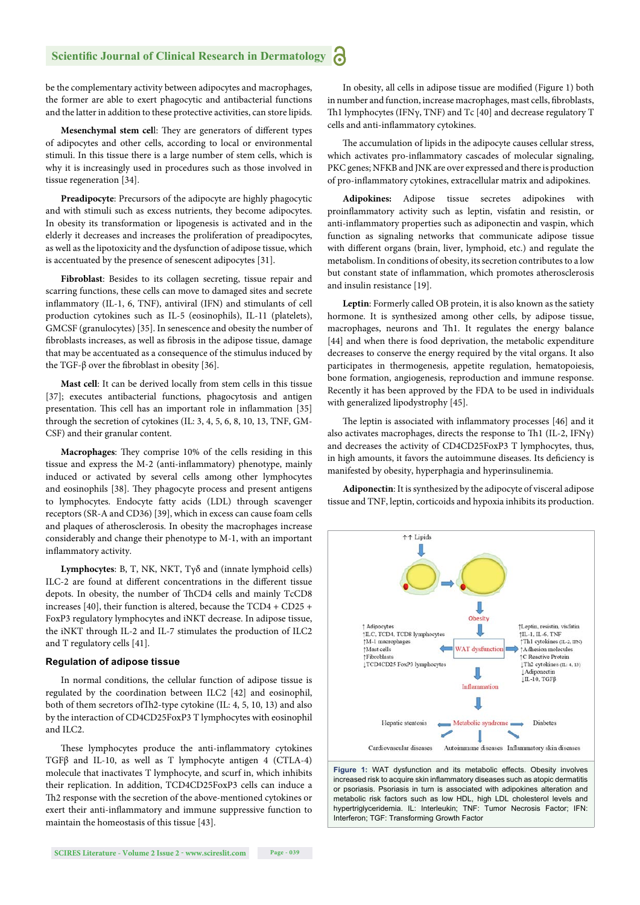#### **Scientific Journal of Clinical Research in Dermatology** a

be the complementary activity between adipocytes and macrophages, the former are able to exert phagocytic and antibacterial functions and the latter in addition to these protective activities, can store lipids.

Mesenchymal stem cell: They are generators of different types of adipocytes and other cells, according to local or environmental stimuli. In this tissue there is a large number of stem cells, which is why it is increasingly used in procedures such as those involved in tissue regeneration [34].

**Preadipocyte**: Precursors of the adipocyte are highly phagocytic and with stimuli such as excess nutrients, they become adipocytes. In obesity its transformation or lipogenesis is activated and in the elderly it decreases and increases the proliferation of preadipocytes, as well as the lipotoxicity and the dysfunction of adipose tissue, which is accentuated by the presence of senescent adipocytes [31].

**Fibroblast**: Besides to its collagen secreting, tissue repair and scarring functions, these cells can move to damaged sites and secrete inflammatory (IL-1, 6, TNF), antiviral (IFN) and stimulants of cell production cytokines such as IL-5 (eosinophils), IL-11 (platelets), GMCSF (granulocytes) [35]. In senescence and obesity the number of fibroblasts increases, as well as fibrosis in the adipose tissue, damage that may be accentuated as a consequence of the stimulus induced by the TGF-β over the fibroblast in obesity [36].

**Mast cell**: It can be derived locally from stem cells in this tissue [37]; executes antibacterial functions, phagocytosis and antigen presentation. This cell has an important role in inflammation [35] through the secretion of cytokines (IL: 3, 4, 5, 6, 8, 10, 13, TNF, GM-CSF) and their granular content.

Macrophages: They comprise 10% of the cells residing in this tissue and express the M-2 (anti-inflammatory) phenotype, mainly induced or activated by several cells among other lymphocytes and eosinophils [38]. They phagocyte process and present antigens to lymphocytes. Endocyte fatty acids (LDL) through scavenger receptors (SR-A and CD36) [39], which in excess can cause foam cells and plaques of atherosclerosis. In obesity the macrophages increase considerably and change their phenotype to M-1, with an important inflammatory activity.

**Lymphocytes**: B, T, NK, NKT, Tγδ and (innate lymphoid cells) ILC-2 are found at different concentrations in the different tissue depots. In obesity, the number of ThCD4 cells and mainly TcCD8 increases [40], their function is altered, because the TCD4 + CD25 + FoxP3 regulatory lymphocytes and iNKT decrease. In adipose tissue, the iNKT through IL-2 and IL-7 stimulates the production of ILC2 and T regulatory cells [41].

#### **Regulation of adipose tissue**

In normal conditions, the cellular function of adipose tissue is regulated by the coordination between ILC2 [42] and eosinophil, both of them secretors of Th2-type cytokine (IL: 4, 5, 10, 13) and also by the interaction of CD4CD25FoxP3 T lymphocytes with eosinophil and ILC2.

These lymphocytes produce the anti-inflammatory cytokines TGFβ and IL-10, as well as T lymphocyte antigen 4 (CTLA-4) molecule that inactivates T lymphocyte, and scurf in, which inhibits their replication. In addition, TCD4CD25FoxP3 cells can induce a Th2 response with the secretion of the above-mentioned cytokines or exert their anti-inflammatory and immune suppressive function to maintain the homeostasis of this tissue [43].

**SCIRES Literature - Volume 2 Issue 2 - www.scireslit.com Page - 039**

In obesity, all cells in adipose tissue are modified (Figure 1) both in number and function, increase macrophages, mast cells, fibroblasts, Th1 lymphocytes (IFN $\gamma$ , TNF) and Tc [40] and decrease regulatory T cells and anti-inflammatory cytokines.

The accumulation of lipids in the adipocyte causes cellular stress, which activates pro-inflammatory cascades of molecular signaling, PKC genes; NFKB and JNK are over expressed and there is production of pro-inflammatory cytokines, extracellular matrix and adipokines.

**Adipokines:** Adipose tissue secretes adipokines with proinflammatory activity such as leptin, visfatin and resistin, or anti-inflammatory properties such as adiponectin and vaspin, which function as signaling networks that communicate adipose tissue with different organs (brain, liver, lymphoid, etc.) and regulate the metabolism. In conditions of obesity, its secretion contributes to a low but constant state of inflammation, which promotes atherosclerosis and insulin resistance [19].

**Leptin**: Formerly called OB protein, it is also known as the satiety hormone. It is synthesized among other cells, by adipose tissue, macrophages, neurons and Th1. It regulates the energy balance [44] and when there is food deprivation, the metabolic expenditure decreases to conserve the energy required by the vital organs. It also participates in thermogenesis, appetite regulation, hematopoiesis, bone formation, angiogenesis, reproduction and immune response. Recently it has been approved by the FDA to be used in individuals with generalized lipodystrophy [45].

The leptin is associated with inflammatory processes [46] and it also activates macrophages, directs the response to Th1 (IL-2, IFN $\gamma$ ) and decreases the activity of CD4CD25FoxP3 T lymphocytes, thus, in high amounts, it favors the autoimmune diseases. Its deficiency is manifested by obesity, hyperphagia and hyperinsulinemia.

**Adiponectin**: It is synthesized by the adipocyte of visceral adipose tissue and TNF, leptin, corticoids and hypoxia inhibits its production.



**Figure 1:** WAT dysfunction and its metabolic effects. Obesity involves increased risk to acquire skin inflammatory diseases such as atopic dermatitis or psoriasis. Psoriasis in turn is associated with adipokines alteration and metabolic risk factors such as low HDL, high LDL cholesterol levels and hypertriglyceridemia. IL: Interleukin; TNF: Tumor Necrosis Factor; IFN: Interferon; TGF: Transforming Growth Factor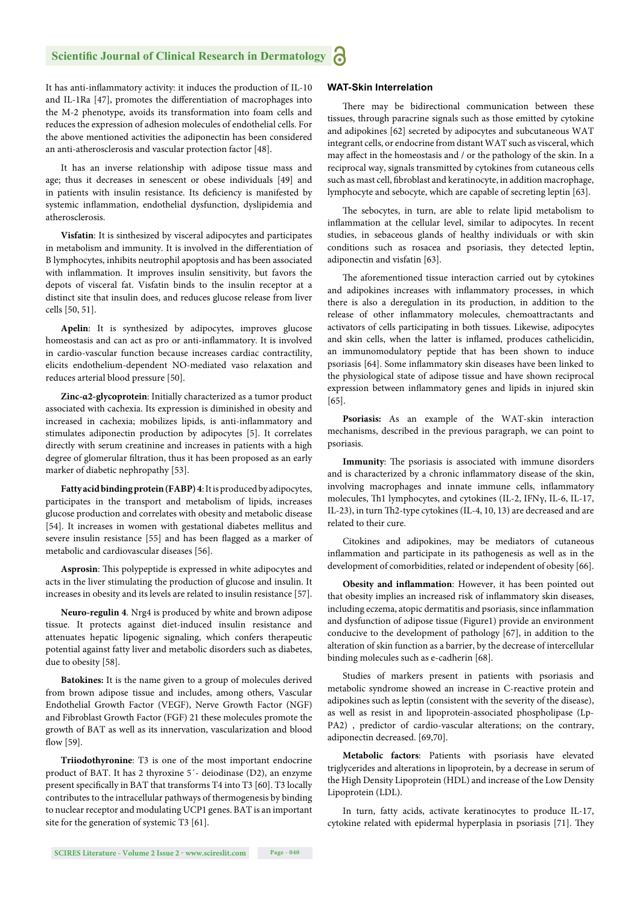#### **Scientific Journal of Clinical Research in Dermatology** a

It has anti-inflammatory activity: it induces the production of IL-10 and IL-1Ra [47], promotes the differentiation of macrophages into the M-2 phenotype, avoids its transformation into foam cells and reduces the expression of adhesion molecules of endothelial cells. For the above mentioned activities the adiponectin has been considered an anti-atherosclerosis and vascular protection factor [48].

It has an inverse relationship with adipose tissue mass and age; thus it decreases in senescent or obese individuals [49] and in patients with insulin resistance. Its deficiency is manifested by systemic inflammation, endothelial dysfunction, dyslipidemia and atherosclerosis.

**Visfatin**: It is sinthesized by visceral adipocytes and participates in metabolism and immunity. It is involved in the differentiation of B lymphocytes, inhibits neutrophil apoptosis and has been associated with inflammation. It improves insulin sensitivity, but favors the depots of visceral fat. Visfatin binds to the insulin receptor at a distinct site that insulin does, and reduces glucose release from liver cells [50, 51].

**Apelin**: It is synthesized by adipocytes, improves glucose homeostasis and can act as pro or anti-inflammatory. It is involved in cardio-vascular function because increases cardiac contractility, elicits endothelium-dependent NO-mediated vaso relaxation and reduces arterial blood pressure [50].

**Zinc-α2-glycoprotein**: Initially characterized as a tumor product associated with cachexia. Its expression is diminished in obesity and increased in cachexia; mobilizes lipids, is anti-inflammatory and stimulates adiponectin production by adipocytes [5]. It correlates directly with serum creatinine and increases in patients with a high degree of glomerular filtration, thus it has been proposed as an early marker of diabetic nephropathy [53].

**Fatty acid binding protein (FABP) 4**: It is produced by adipocytes, participates in the transport and metabolism of lipids, increases glucose production and correlates with obesity and metabolic disease [54]. It increases in women with gestational diabetes mellitus and severe insulin resistance [55] and has been flagged as a marker of metabolic and cardiovascular diseases [56].

Asprosin: This polypeptide is expressed in white adipocytes and acts in the liver stimulating the production of glucose and insulin. It increases in obesity and its levels are related to insulin resistance [57].

**Neuro-regulin 4**. Nrg4 is produced by white and brown adipose tissue. It protects against diet-induced insulin resistance and attenuates hepatic lipogenic signaling, which confers therapeutic potential against fatty liver and metabolic disorders such as diabetes, due to obesity [58].

**Batokines:** It is the name given to a group of molecules derived from brown adipose tissue and includes, among others, Vascular Endothelial Growth Factor (VEGF), Nerve Growth Factor (NGF) and Fibroblast Growth Factor (FGF) 21 these molecules promote the growth of BAT as well as its innervation, vascularization and blood flow  $[59]$ .

**Triiodothyronine**: T3 is one of the most important endocrine product of BAT. It has 2 thyroxine 5´- deiodinase (D2), an enzyme present specifically in BAT that transforms T4 into T3 [60]. T3 locally contributes to the intracellular pathways of thermogenesis by binding to nuclear receptor and modulating UCP1 genes. BAT is an important site for the generation of systemic T3 [61].

#### **WAT-Skin Interrelation**

There may be bidirectional communication between these tissues, through paracrine signals such as those emitted by cytokine and adipokines [62] secreted by adipocytes and subcutaneous WAT integrant cells, or endocrine from distant WAT such as visceral, which may affect in the homeostasis and / or the pathology of the skin. In a reciprocal way, signals transmitted by cytokines from cutaneous cells such as mast cell, fibroblast and keratinocyte, in addition macrophage, lymphocyte and sebocyte, which are capable of secreting leptin [63].

The sebocytes, in turn, are able to relate lipid metabolism to inflammation at the cellular level, similar to adipocytes. In recent studies, in sebaceous glands of healthy individuals or with skin conditions such as rosacea and psoriasis, they detected leptin, adiponectin and visfatin [63].

The aforementioned tissue interaction carried out by cytokines and adipokines increases with inflammatory processes, in which there is also a deregulation in its production, in addition to the release of other inflammatory molecules, chemoattractants and activators of cells participating in both tissues. Likewise, adipocytes and skin cells, when the latter is inflamed, produces cathelicidin, an immunomodulatory peptide that has been shown to induce psoriasis [64]. Some inflammatory skin diseases have been linked to the physiological state of adipose tissue and have shown reciprocal expression between inflammatory genes and lipids in injured skin [65].

**Psoriasis:** As an example of the WAT-skin interaction mechanisms, described in the previous paragraph, we can point to psoriasis.

**Immunity**: The psoriasis is associated with immune disorders and is characterized by a chronic inflammatory disease of the skin, involving macrophages and innate immune cells, inflammatory molecules, Th1 lymphocytes, and cytokines (IL-2, IFNγ, IL-6, IL-17, IL-23), in turn Th2-type cytokines (IL-4, 10, 13) are decreased and are related to their cure.

Citokines and adipokines, may be mediators of cutaneous inflammation and participate in its pathogenesis as well as in the development of comorbidities, related or independent of obesity [66].

Obesity and inflammation: However, it has been pointed out that obesity implies an increased risk of inflammatory skin diseases, including eczema, atopic dermatitis and psoriasis, since inflammation and dysfunction of adipose tissue (Figure1) provide an environment conducive to the development of pathology [67], in addition to the alteration of skin function as a barrier, by the decrease of intercellular binding molecules such as e-cadherin [68].

Studies of markers present in patients with psoriasis and metabolic syndrome showed an increase in C-reactive protein and adipokines such as leptin (consistent with the severity of the disease), as well as resist in and lipoprotein-associated phospholipase (Lp-PA2) , predictor of cardio-vascular alterations; on the contrary, adiponectin decreased. [69,70].

**Metabolic factors**: Patients with psoriasis have elevated triglycerides and alterations in lipoprotein, by a decrease in serum of the High Density Lipoprotein (HDL) and increase of the Low Density Lipoprotein (LDL).

In turn, fatty acids, activate keratinocytes to produce IL-17, cytokine related with epidermal hyperplasia in psoriasis [71]. They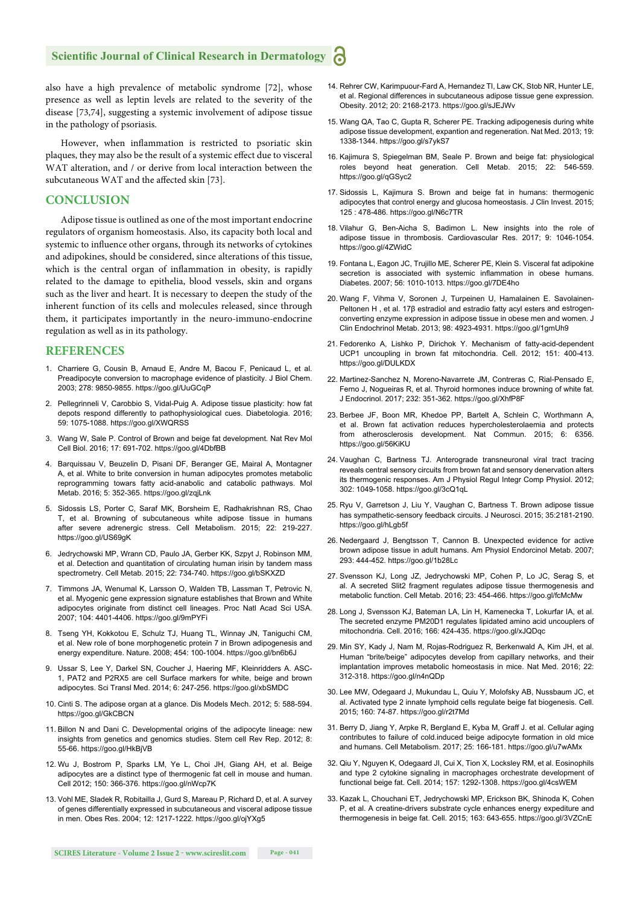#### **Scientific Journal of Clinical Research in Dermatology**

also have a high prevalence of metabolic syndrome [72], whose presence as well as leptin levels are related to the severity of the disease [73,74], suggesting a systemic involvement of adipose tissue in the pathology of psoriasis.

However, when inflammation is restricted to psoriatic skin plaques, they may also be the result of a systemic effect due to visceral WAT alteration, and / or derive from local interaction between the subcutaneous WAT and the affected skin [73].

#### **CONCLUSION**

Adipose tissue is outlined as one of the most important endocrine regulators of organism homeostasis. Also, its capacity both local and systemic to influence other organs, through its networks of cytokines and adipokines, should be considered, since alterations of this tissue, which is the central organ of inflammation in obesity, is rapidly related to the damage to epithelia, blood vessels, skin and organs such as the liver and heart. It is necessary to deepen the study of the inherent function of its cells and molecules released, since through them, it participates importantly in the neuro-immuno-endocrine regulation as well as in its pathology.

#### **REFERENCES**

- 1. Charriere G, Cousin B, Arnaud E, Andre M, Bacou F, Penicaud L, et al. Preadipocyte conversion to macrophage evidence of plasticity. J Biol Chem. 2003; 278: 9850-9855. https://goo.gl/UuGCqP
- 2. Pellegrinneli V, Carobbio S, Vidal-Puig A. Adipose tissue plasticity: how fat depots respond differently to pathophysiological cues. Diabetologia. 2016; 59: 1075-1088. https://goo.gl/XWQRSS
- 3. Wang W, Sale P. Control of Brown and beige fat development. Nat Rev Mol Cell Biol. 2016; 17: 691-702. https://goo.gl/4DbfBB
- 4. Barquissau V, Beuzelin D, Pisani DF, Beranger GE, Mairal A, Montagner A, et al. White to brite conversion in human adipocytes promotes metabolic reprogramming towars fatty acid-anabolic and catabolic pathways. Mol Metab. 2016; 5: 352-365. https://goo.gl/zqjLnk
- 5. Sidossis LS, Porter C, Saraf MK, Borsheim E, Radhakrishnan RS, Chao T, et al. Browning of subcutaneous white adipose tissue in humans after severe adrenergic stress. Cell Metabolism. 2015; 22: 219-227. https://goo.gl/US69gK
- 6. Jedrychowski MP, Wrann CD, Paulo JA, Gerber KK, Szpyt J, Robinson MM, et al. Detection and quantitation of circulating human irisin by tandem mass spectrometry. Cell Metab. 2015; 22: 734-740. https://goo.gl/bSKXZD
- 7. Timmons JA, Wenumal K, Larsson O, Walden TB, Lassman T, Petrovic N, et al. Myogenic gene expression signature establishes that Brown and White adipocytes originate from distinct cell lineages. Proc Natl Acad Sci USA. 2007; 104: 4401-4406. https://goo.gl/9mPYFi
- 8. Tseng YH, Kokkotou E, Schulz TJ, Huang TL, Winnay JN, Taniguchi CM, et al. New role of bone morphogenetic protein 7 in Brown adipogenesis and energy expenditure. Nature. 2008; 454: 100-1004. https://goo.gl/bn6b6J
- 9. Ussar S, Lee Y, Darkel SN, Coucher J, Haering MF, Kleinridders A. ASC-1, PAT2 and P2RX5 are cell Surface markers for white, beige and brown adipocytes. Sci Transl Med. 2014; 6: 247-256. https://goo.gl/xbSMDC
- 10. Cinti S. The adipose organ at a glance. Dis Models Mech. 2012; 5: 588-594. https://goo.gl/GkCBCN
- 11. Billon N and Dani C. Developmental origins of the adipocyte lineage: new insights from genetics and genomics studies. Stem cell Rev Rep. 2012; 8: 55-66. https://goo.gl/HkBjVB
- 12. Wu J, Bostrom P, Sparks LM, Ye L, Choi JH, Giang AH, et al. Beige adipocytes are a distinct type of thermogenic fat cell in mouse and human. Cell 2012; 150: 366-376. https://goo.gl/nWcp7K
- 13. Vohl ME, Sladek R, Robitailla J, Gurd S, Mareau P, Richard D, et al. A survey of genes differentially expressed in subcutaneous and visceral adipose tissue in men. Obes Res. 2004; 12: 1217-1222. https://goo.gl/ojYXg5
- 14. Rehrer CW, Karimpuour-Fard A, Hernandez TI, Law CK, Stob NR, Hunter LE, et al. Regional differences in subcutaneous adipose tissue gene expression. Obesity. 2012; 20: 2168-2173. https://goo.gl/sJEJWv
- 15. Wang QA, Tao C, Gupta R, Scherer PE. Tracking adipogenesis during white adipose tissue development, expantion and regeneration. Nat Med. 2013; 19: 1338-1344. https://goo.gl/s7ykS7
- 16. Kajimura S, Spiegelman BM, Seale P. Brown and beige fat: physiological roles beyond heat generation. Cell Metab. 2015; 22: 546-559. https://goo.gl/qGSyc2
- 17. Sidossis L, Kajimura S. Brown and beige fat in humans: thermogenic adipocytes that control energy and glucosa homeostasis. J Clin Invest. 2015; 125 : 478-486. https://goo.gl/N6c7TR
- 18. Vilahur G, Ben-Aicha S, Badimon L. New insights into the role of adipose tissue in thrombosis. Cardiovascular Res. 2017; 9: 1046-1054. https://goo.gl/4ZWidC
- 19. Fontana L, Eagon JC, Trujillo ME, Scherer PE, Klein S. Visceral fat adipokine secretion is associated with systemic inflammation in obese humans. Diabetes. 2007; 56: 1010-1013. https://goo.gl/7DE4ho
- 20. Wang F, Vihma V, Soronen J, Turpeinen U, Hamalainen E. Savolainen-Peltonen H , et al. 17β estradiol and estradio fatty acyl esters and estrogenconverting enzyme expression in adipose tissue in obese men and women. J Clin Endochrinol Metab. 2013; 98: 4923-4931. https://goo.gl/1gmUh9
- 21. Fedorenko A, Lishko P, Dirichok Y. Mechanism of fatty-acid-dependent UCP1 uncoupling in brown fat mitochondria. Cell. 2012; 151: 400-413. https://goo.gl/DULKDX
- 22. Martinez-Sanchez N, Moreno-Navarrete JM, Contreras C, Rial-Pensado E, Ferno J, Nogueiras R, et al. Thyroid hormones induce browning of white fat. J Endocrinol. 2017; 232: 351-362. https://goo.gl/XhfP8F
- 23. Berbee JF, Boon MR, Khedoe PP, Bartelt A, Schlein C, Worthmann A, et al. Brown fat activation reduces hypercholesterolaemia and protects from atherosclerosis development. Nat Commun. 2015; 6: 6356. https://goo.gl/56KiKU
- 24. Vaughan C, Bartness TJ. Anterograde transneuronal viral tract tracing reveals central sensory circuits from brown fat and sensory denervation alters its thermogenic responses. Am J Physiol Regul Integr Comp Physiol. 2012; 302: 1049-1058. https://goo.gl/3cQ1qL
- 25. Ryu V, Garretson J, Liu Y, Vaughan C, Bartness T. Brown adipose tissue has sympathetic-sensory feedback circuits. J Neurosci. 2015; 35:2181-2190. https://goo.gl/hLgb5f
- 26. Nedergaard J, Bengtsson T, Cannon B. Unexpected evidence for active brown adipose tissue in adult humans. Am Physiol Endorcinol Metab. 2007; 293: 444-452. https://goo.gl/1b28Lc
- 27. Svensson KJ, Long JZ, Jedrychowski MP, Cohen P, Lo JC, Serag S, et al. A secreted Slit2 fragment regulates adipose tissue thermogenesis and metabolic function. Cell Metab. 2016; 23: 454-466. https://goo.gl/fcMcMw
- 28. Long J, Svensson KJ, Bateman LA, Lin H, Kamenecka T, Lokurfar IA, et al. The secreted enzyme PM20D1 regulates lipidated amino acid uncouplers of mitochondria. Cell. 2016; 166: 424-435. https://goo.gl/xJQDqc
- 29. Min SY, Kady J, Nam M, Rojas-Rodriguez R, Berkenwald A, Kim JH, et al. Human "brite/beige" adipocytes develop from capillary networks, and their implantation improves metabolic homeostasis in mice. Nat Med. 2016; 22: 312-318. https://goo.gl/n4nQDp
- 30. Lee MW, Odegaard J, Mukundau L, Quiu Y, Molofsky AB, Nussbaum JC, et al. Activated type 2 innate lymphoid cells regulate beige fat biogenesis. Cell. 2015; 160: 74-87. https://goo.gl/r2t7Md
- 31. Berry D, Jiang Y, Arpke R, Bergland E, Kyba M, Graff J. et al. Cellular aging contributes to failure of cold.induced beige adipocyte formation in old mice and humans. Cell Metabolism. 2017; 25: 166-181. https://goo.gl/u7wAMx
- 32. Qiu Y, Nguyen K, Odegaard JI, Cui X, Tion X, Locksley RM, et al. Eosinophils and type 2 cytokine signaling in macrophages orchestrate development of functional beige fat. Cell. 2014; 157: 1292-1308. https://goo.gl/4csWEM
- 33. Kazak L, Chouchani ET, Jedrychowski MP, Erickson BK, Shinoda K, Cohen P, et al. A creatine-drivers substrate cycle enhances energy expediture and thermogenesis in beige fat. Cell. 2015; 163: 643-655. https://goo.gl/3VZCnE